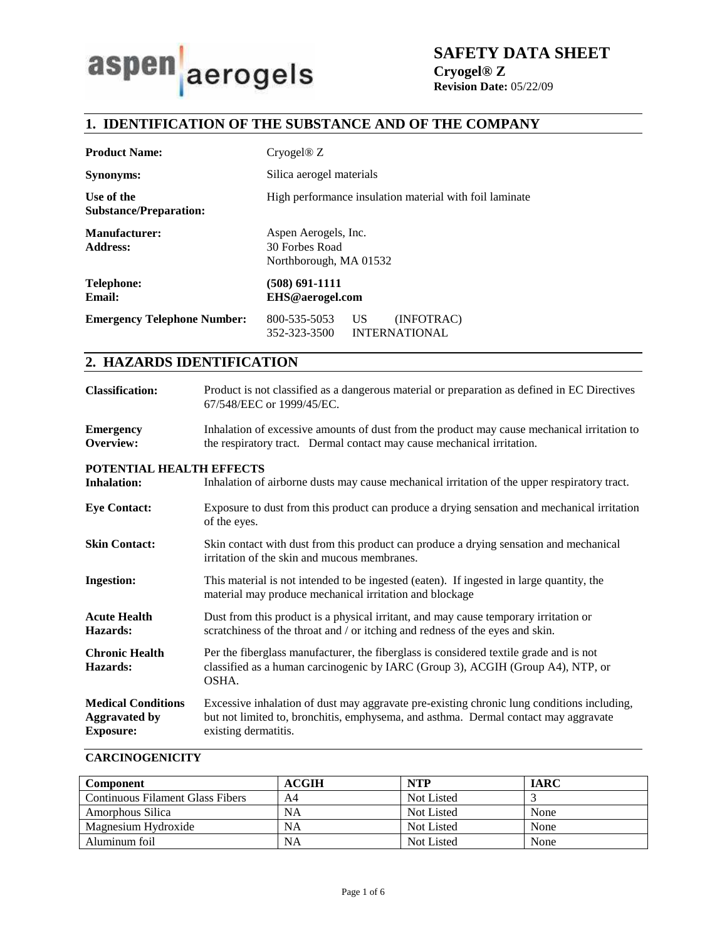# aerogels aspen

**SAFETY DATA SHEET**

**Cryogel® Z Revision Date:** 05/22/09

# **1. IDENTIFICATION OF THE SUBSTANCE AND OF THE COMPANY**

| <b>Product Name:</b>                        | Cryogel@Z                                                                |  |
|---------------------------------------------|--------------------------------------------------------------------------|--|
| <b>Synonyms:</b>                            | Silica aerogel materials                                                 |  |
| Use of the<br><b>Substance/Preparation:</b> | High performance insulation material with foil laminate                  |  |
| <b>Manufacturer:</b><br><b>Address:</b>     | Aspen Aerogels, Inc.<br>30 Forbes Road<br>Northborough, MA 01532         |  |
| <b>Telephone:</b><br><b>Email:</b>          | (508) 691-1111<br>EHS@aerogel.com                                        |  |
| <b>Emergency Telephone Number:</b>          | 800-535-5053<br>US<br>(INFOTRAC)<br>352-323-3500<br><b>INTERNATIONAL</b> |  |

# **2. HAZARDS IDENTIFICATION**

| <b>Classification:</b> | Product is not classified as a dangerous material or preparation as defined in EC Directives<br>67/548/EEC or 1999/45/EC.                                                                                      |
|------------------------|----------------------------------------------------------------------------------------------------------------------------------------------------------------------------------------------------------------|
| <b>Emergency</b>       | Inhalation of excessive amounts of dust from the product may cause mechanical irritation to<br>the contract of the contract of the contract of the contract of the contract of the contract of the contract of |

#### **Overview:**  the respiratory tract. Dermal contact may cause mechanical irritation.

### **POTENTIAL HEALTH EFFECTS**

| <b>Inhalation:</b>                                                    | Inhalation of airborne dusts may cause mechanical irritation of the upper respiratory tract.                                                                                                              |  |
|-----------------------------------------------------------------------|-----------------------------------------------------------------------------------------------------------------------------------------------------------------------------------------------------------|--|
| <b>Eye Contact:</b>                                                   | Exposure to dust from this product can produce a drying sensation and mechanical irritation<br>of the eyes.                                                                                               |  |
| <b>Skin Contact:</b>                                                  | Skin contact with dust from this product can produce a drying sensation and mechanical<br>irritation of the skin and mucous membranes.                                                                    |  |
| <b>Ingestion:</b>                                                     | This material is not intended to be ingested (eaten). If ingested in large quantity, the<br>material may produce mechanical irritation and blockage                                                       |  |
| <b>Acute Health</b><br>Hazards:                                       | Dust from this product is a physical irritant, and may cause temporary irritation or<br>scratchiness of the throat and / or itching and redness of the eyes and skin.                                     |  |
| <b>Chronic Health</b><br>Hazards:                                     | Per the fiberglass manufacturer, the fiberglass is considered textile grade and is not<br>classified as a human carcinogenic by IARC (Group 3), ACGIH (Group A4), NTP, or<br>OSHA.                        |  |
| <b>Medical Conditions</b><br><b>Aggravated by</b><br><b>Exposure:</b> | Excessive inhalation of dust may aggravate pre-existing chronic lung conditions including,<br>but not limited to, bronchitis, emphysema, and asthma. Dermal contact may aggravate<br>existing dermatitis. |  |

## **CARCINOGENICITY**

| <b>Component</b>                 | <b>ACGIH</b> | <b>NTP</b> | <b>IARC</b> |
|----------------------------------|--------------|------------|-------------|
| Continuous Filament Glass Fibers | A4           | Not Listed |             |
| Amorphous Silica                 | NA           | Not Listed | None        |
| Magnesium Hydroxide              | NA           | Not Listed | None        |
| Aluminum foil                    | NA           | Not Listed | None        |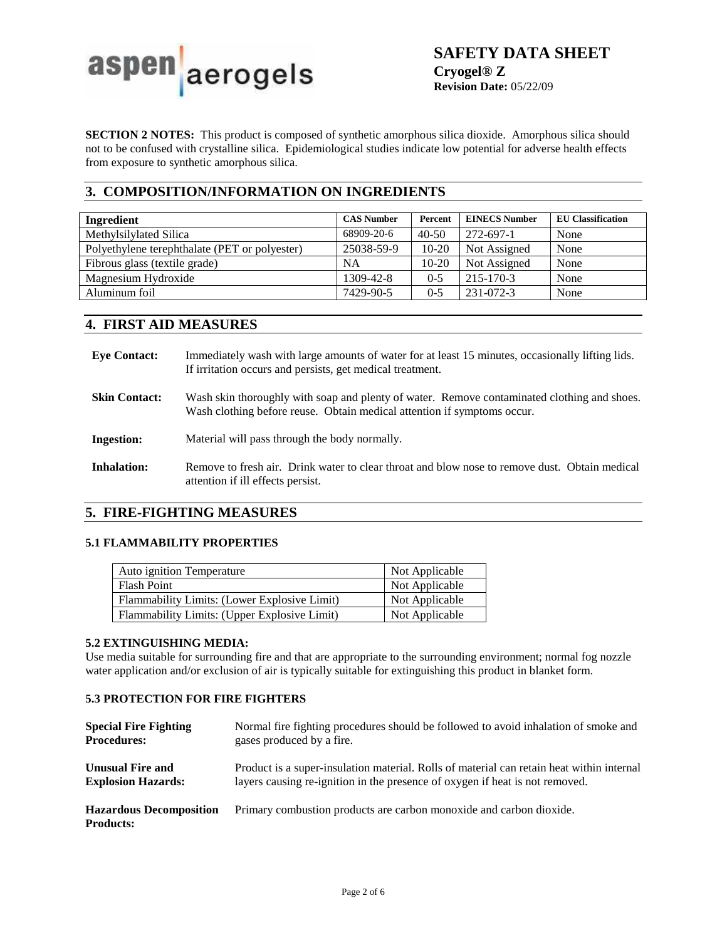

**SECTION 2 NOTES:** This product is composed of synthetic amorphous silica dioxide. Amorphous silica should not to be confused with crystalline silica. Epidemiological studies indicate low potential for adverse health effects from exposure to synthetic amorphous silica.

# **3. COMPOSITION/INFORMATION ON INGREDIENTS**

| Ingredient                                    | <b>CAS Number</b> | Percent   | <b>EINECS Number</b> | <b>EU Classification</b> |
|-----------------------------------------------|-------------------|-----------|----------------------|--------------------------|
| Methylsilylated Silica                        | 68909-20-6        | $40 - 50$ | 272-697-1            | None                     |
| Polyethylene terephthalate (PET or polyester) | 25038-59-9        | $10-20$   | Not Assigned         | None                     |
| Fibrous glass (textile grade)                 | NA                | $10 - 20$ | Not Assigned         | None                     |
| Magnesium Hydroxide                           | 1309-42-8         | $0 - 5$   | $215 - 170 - 3$      | None                     |
| Aluminum foil                                 | 7429-90-5         | $0 - 5$   | 231-072-3            | None                     |

# **4. FIRST AID MEASURES**

| <b>Eve Contact:</b>  | Immediately wash with large amounts of water for at least 15 minutes, occasionally lifting lids.<br>If irritation occurs and persists, get medical treatment.          |
|----------------------|------------------------------------------------------------------------------------------------------------------------------------------------------------------------|
| <b>Skin Contact:</b> | Wash skin thoroughly with soap and plenty of water. Remove contaminated clothing and shoes.<br>Wash clothing before reuse. Obtain medical attention if symptoms occur. |
| <b>Ingestion:</b>    | Material will pass through the body normally.                                                                                                                          |
| <b>Inhalation:</b>   | Remove to fresh air. Drink water to clear throat and blow nose to remove dust. Obtain medical<br>attention if ill effects persist.                                     |

# **5. FIRE-FIGHTING MEASURES**

# **5.1 FLAMMABILITY PROPERTIES**

| <b>Auto ignition Temperature</b>             | Not Applicable |
|----------------------------------------------|----------------|
| <b>Flash Point</b>                           | Not Applicable |
| Flammability Limits: (Lower Explosive Limit) | Not Applicable |
| Flammability Limits: (Upper Explosive Limit) | Not Applicable |

### **5.2 EXTINGUISHING MEDIA:**

Use media suitable for surrounding fire and that are appropriate to the surrounding environment; normal fog nozzle water application and/or exclusion of air is typically suitable for extinguishing this product in blanket form.

### **5.3 PROTECTION FOR FIRE FIGHTERS**

| <b>Special Fire Fighting</b>                       | Normal fire fighting procedures should be followed to avoid inhalation of smoke and       |
|----------------------------------------------------|-------------------------------------------------------------------------------------------|
| <b>Procedures:</b>                                 | gases produced by a fire.                                                                 |
| <b>Unusual Fire and</b>                            | Product is a super-insulation material. Rolls of material can retain heat within internal |
| <b>Explosion Hazards:</b>                          | layers causing re-ignition in the presence of oxygen if heat is not removed.              |
| <b>Hazardous Decomposition</b><br><b>Products:</b> | Primary combustion products are carbon monoxide and carbon dioxide.                       |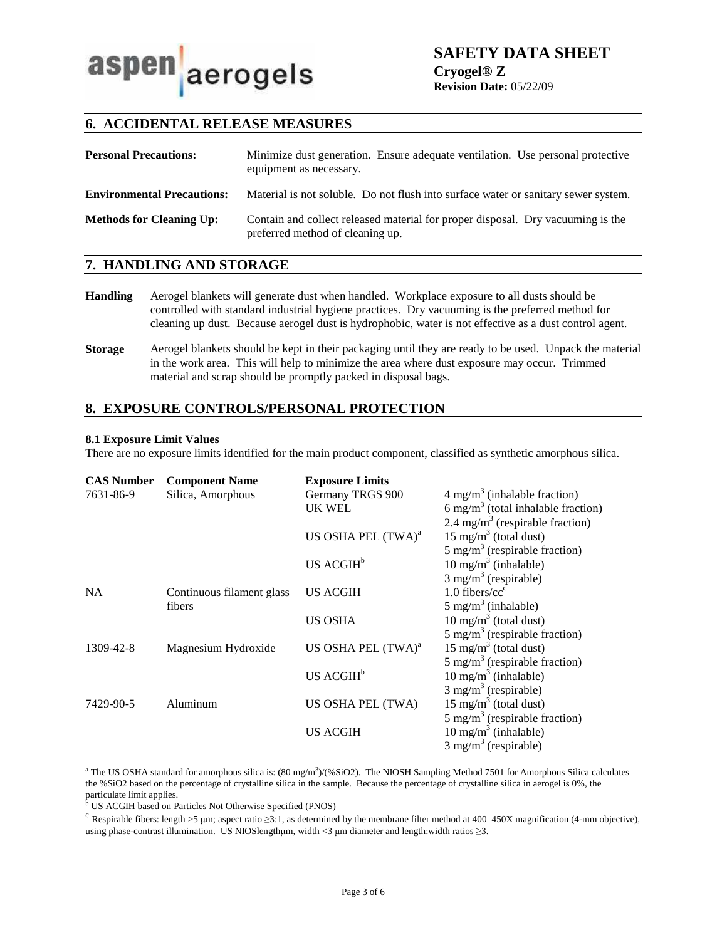# aspen aerogels

**SAFETY DATA SHEET**

**Cryogel® Z Revision Date:** 05/22/09

# **6. ACCIDENTAL RELEASE MEASURES**

| <b>Personal Precautions:</b>      | Minimize dust generation. Ensure adequate ventilation. Use personal protective<br>equipment as necessary.           |
|-----------------------------------|---------------------------------------------------------------------------------------------------------------------|
| <b>Environmental Precautions:</b> | Material is not soluble. Do not flush into surface water or sanitary sewer system.                                  |
| <b>Methods for Cleaning Up:</b>   | Contain and collect released material for proper disposal. Dry vacuuming is the<br>preferred method of cleaning up. |

### **7. HANDLING AND STORAGE**

- **Handling** Aerogel blankets will generate dust when handled. Workplace exposure to all dusts should be controlled with standard industrial hygiene practices. Dry vacuuming is the preferred method for cleaning up dust. Because aerogel dust is hydrophobic, water is not effective as a dust control agent.
- **Storage** Aerogel blankets should be kept in their packaging until they are ready to be used. Unpack the material in the work area. This will help to minimize the area where dust exposure may occur. Trimmed material and scrap should be promptly packed in disposal bags.

# **8. EXPOSURE CONTROLS/PERSONAL PROTECTION**

### **8.1 Exposure Limit Values**

There are no exposure limits identified for the main product component, classified as synthetic amorphous silica.

| <b>CAS Number</b> | <b>Component Name</b>     | <b>Exposure Limits</b>         |                                                |
|-------------------|---------------------------|--------------------------------|------------------------------------------------|
| 7631-86-9         | Silica, Amorphous         | Germany TRGS 900               | $4 \text{ mg/m}^3$ (inhalable fraction)        |
|                   |                           | <b>UK WEL</b>                  | 6 mg/m <sup>3</sup> (total inhalable fraction) |
|                   |                           |                                | 2.4 mg/m <sup>3</sup> (respirable fraction)    |
|                   |                           | US OSHA PEL (TWA) <sup>a</sup> | $15 \text{ mg/m}^3$ (total dust)               |
|                   |                           |                                | 5 mg/m <sup>3</sup> (respirable fraction)      |
|                   |                           | US ACGIH <sup>b</sup>          | $10 \text{ mg/m}^3$ (inhalable)                |
|                   |                           |                                | $3$ mg/m <sup>3</sup> (respirable)             |
| <b>NA</b>         | Continuous filament glass | <b>US ACGIH</b>                | $1.0$ fibers/ $cc^c$                           |
|                   | fibers                    |                                | $5 \text{ mg/m}^3$ (inhalable)                 |
|                   |                           | <b>US OSHA</b>                 | $10 \text{ mg/m}^3$ (total dust)               |
|                   |                           |                                | 5 mg/m <sup>3</sup> (respirable fraction)      |
| 1309-42-8         | Magnesium Hydroxide       | US OSHA PEL (TWA) <sup>a</sup> | $15 \text{ mg/m}^3$ (total dust)               |
|                   |                           |                                | 5 mg/m <sup>3</sup> (respirable fraction)      |
|                   |                           | US ACGIH <sup>b</sup>          | $10 \text{ mg/m}^3$ (inhalable)                |
|                   |                           |                                | $3$ mg/m <sup>3</sup> (respirable)             |
| 7429-90-5         | Aluminum                  | US OSHA PEL (TWA)              | $15 \text{ mg/m}^3$ (total dust)               |
|                   |                           |                                | 5 mg/m <sup>3</sup> (respirable fraction)      |
|                   |                           | <b>US ACGIH</b>                | 10 mg/m <sup>3</sup> (inhalable)               |
|                   |                           |                                | $3$ mg/m <sup>3</sup> (respirable)             |

<sup>a</sup> The US OSHA standard for amorphous silica is:  $(80 \text{ mg/m}^3)/(96 \text{SiO2})$ . The NIOSH Sampling Method 7501 for Amorphous Silica calculates the %SiO2 based on the percentage of crystalline silica in the sample. Because the percentage of crystalline silica in aerogel is 0%, the

particulate limit applies. b US ACGIH based on Particles Not Otherwise Specified (PNOS)

<sup>c</sup> Respirable fibers: length >5 µm; aspect ratio  $\geq$ 3:1, as determined by the membrane filter method at 400–450X magnification (4-mm objective), using phase-contrast illumination. US NIOSlengthμm, width <3 μm diameter and length:width ratios ≥3.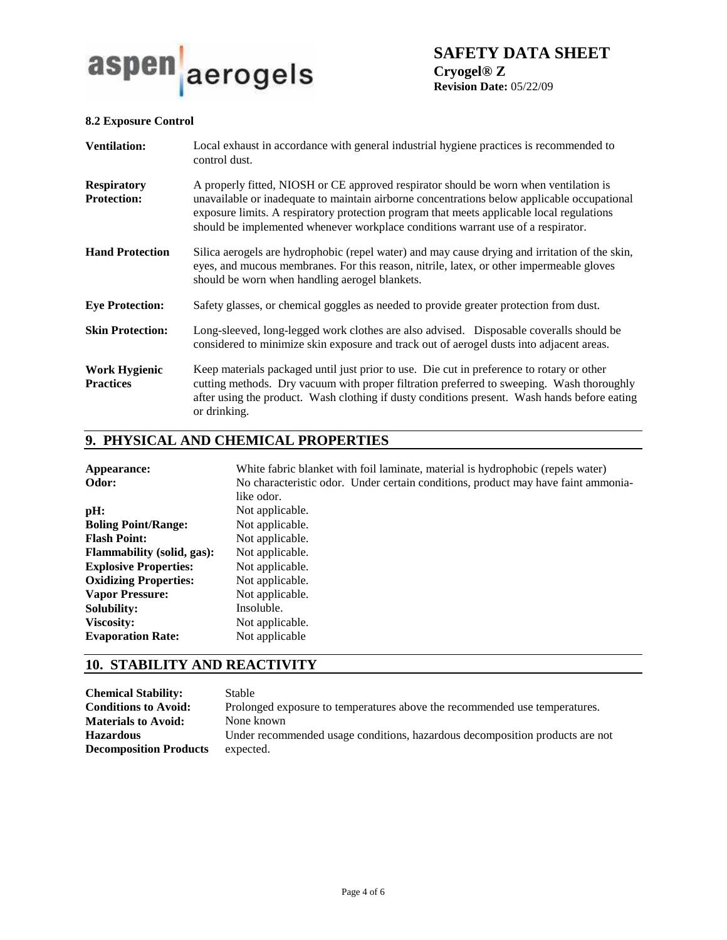

**SAFETY DATA SHEET Cryogel® Z Revision Date:** 05/22/09

### **8.2 Exposure Control**

| <b>Ventilation:</b>                      | Local exhaust in accordance with general industrial hygiene practices is recommended to<br>control dust.                                                                                                                                                                                                                                                              |
|------------------------------------------|-----------------------------------------------------------------------------------------------------------------------------------------------------------------------------------------------------------------------------------------------------------------------------------------------------------------------------------------------------------------------|
| <b>Respiratory</b><br><b>Protection:</b> | A properly fitted, NIOSH or CE approved respirator should be worn when ventilation is<br>unavailable or inadequate to maintain airborne concentrations below applicable occupational<br>exposure limits. A respiratory protection program that meets applicable local regulations<br>should be implemented whenever workplace conditions warrant use of a respirator. |
| <b>Hand Protection</b>                   | Silica aerogels are hydrophobic (repel water) and may cause drying and irritation of the skin,<br>eyes, and mucous membranes. For this reason, nitrile, latex, or other impermeable gloves<br>should be worn when handling aerogel blankets.                                                                                                                          |
| <b>Eye Protection:</b>                   | Safety glasses, or chemical goggles as needed to provide greater protection from dust.                                                                                                                                                                                                                                                                                |
| <b>Skin Protection:</b>                  | Long-sleeved, long-legged work clothes are also advised. Disposable coveralls should be<br>considered to minimize skin exposure and track out of aerogel dusts into adjacent areas.                                                                                                                                                                                   |
| <b>Work Hygienic</b><br><b>Practices</b> | Keep materials packaged until just prior to use. Die cut in preference to rotary or other<br>cutting methods. Dry vacuum with proper filtration preferred to sweeping. Wash thoroughly<br>after using the product. Wash clothing if dusty conditions present. Wash hands before eating<br>or drinking.                                                                |

# **9. PHYSICAL AND CHEMICAL PROPERTIES**

| White fabric blanket with foil laminate, material is hydrophobic (repels water)   |
|-----------------------------------------------------------------------------------|
| No characteristic odor. Under certain conditions, product may have faint ammonia- |
| like odor.                                                                        |
| Not applicable.                                                                   |
| Not applicable.                                                                   |
| Not applicable.                                                                   |
| Not applicable.                                                                   |
| Not applicable.                                                                   |
| Not applicable.                                                                   |
| Not applicable.                                                                   |
| Insoluble.                                                                        |
| Not applicable.                                                                   |
| Not applicable                                                                    |
|                                                                                   |

# **10. STABILITY AND REACTIVITY**

| <b>Chemical Stability:</b>    | <b>Stable</b>                                                                |
|-------------------------------|------------------------------------------------------------------------------|
| <b>Conditions to Avoid:</b>   | Prolonged exposure to temperatures above the recommended use temperatures.   |
| <b>Materials to Avoid:</b>    | None known                                                                   |
| <b>Hazardous</b>              | Under recommended usage conditions, hazardous decomposition products are not |
| <b>Decomposition Products</b> | expected.                                                                    |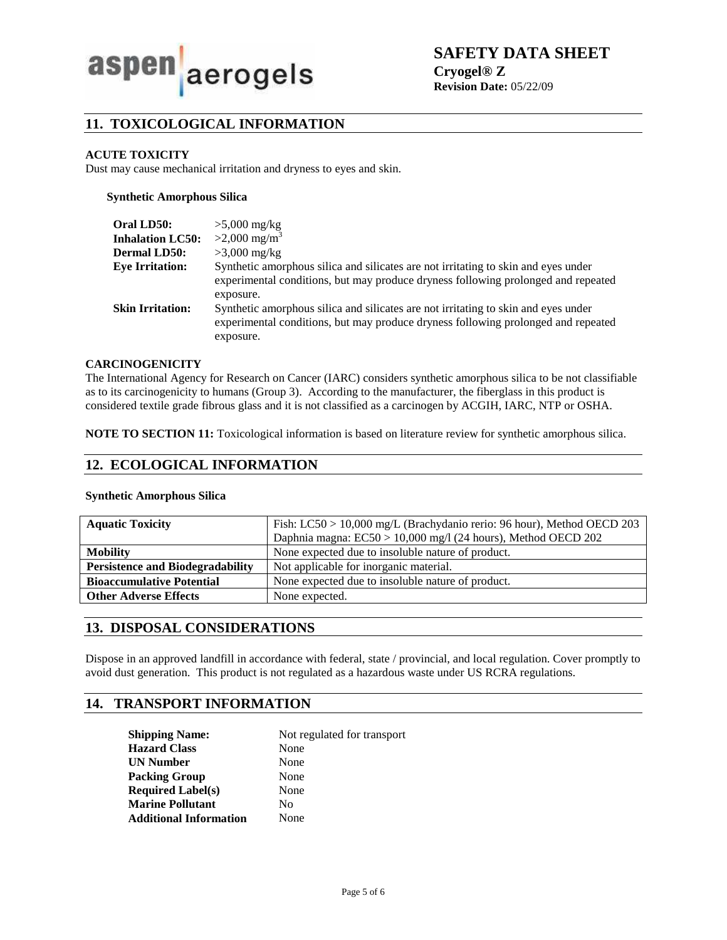

**SAFETY DATA SHEET**

**Cryogel® Z Revision Date:** 05/22/09

# **11. TOXICOLOGICAL INFORMATION**

### **ACUTE TOXICITY**

Dust may cause mechanical irritation and dryness to eyes and skin.

### **Synthetic Amorphous Silica**

| Oral LD50:<br><b>Inhalation LC50:</b><br><b>Dermal LD50:</b> | $>5,000$ mg/kg<br>$>2,000$ mg/m <sup>3</sup><br>$>3,000$ mg/kg                                                                                                                       |
|--------------------------------------------------------------|--------------------------------------------------------------------------------------------------------------------------------------------------------------------------------------|
| <b>Eve Irritation:</b>                                       | Synthetic amorphous silica and silicates are not irritating to skin and eyes under<br>experimental conditions, but may produce dryness following prolonged and repeated<br>exposure. |
| <b>Skin Irritation:</b>                                      | Synthetic amorphous silica and silicates are not irritating to skin and eyes under<br>experimental conditions, but may produce dryness following prolonged and repeated<br>exposure. |

### **CARCINOGENICITY**

The International Agency for Research on Cancer (IARC) considers synthetic amorphous silica to be not classifiable as to its carcinogenicity to humans (Group 3). According to the manufacturer, the fiberglass in this product is considered textile grade fibrous glass and it is not classified as a carcinogen by ACGIH, IARC, NTP or OSHA.

**NOTE TO SECTION 11:** Toxicological information is based on literature review for synthetic amorphous silica.

# **12. ECOLOGICAL INFORMATION**

### **Synthetic Amorphous Silica**

| <b>Aquatic Toxicity</b>                 | Fish: LC50 > 10,000 mg/L (Brachydanio rerio: 96 hour), Method OECD 203 |  |
|-----------------------------------------|------------------------------------------------------------------------|--|
|                                         | Daphnia magna: EC50 > 10,000 mg/l (24 hours), Method OECD 202          |  |
| <b>Mobility</b>                         | None expected due to insoluble nature of product.                      |  |
| <b>Persistence and Biodegradability</b> | Not applicable for inorganic material.                                 |  |
| <b>Bioaccumulative Potential</b>        | None expected due to insoluble nature of product.                      |  |
| <b>Other Adverse Effects</b>            | None expected.                                                         |  |

## **13. DISPOSAL CONSIDERATIONS**

Dispose in an approved landfill in accordance with federal, state / provincial, and local regulation. Cover promptly to avoid dust generation. This product is not regulated as a hazardous waste under US RCRA regulations.

# **14. TRANSPORT INFORMATION**

| <b>Shipping Name:</b>         | Not regulated for transport |  |
|-------------------------------|-----------------------------|--|
| <b>Hazard Class</b>           | None                        |  |
| <b>UN Number</b>              | None                        |  |
| <b>Packing Group</b>          | None                        |  |
| <b>Required Label(s)</b>      | None                        |  |
| <b>Marine Pollutant</b>       | No                          |  |
| <b>Additional Information</b> | None                        |  |